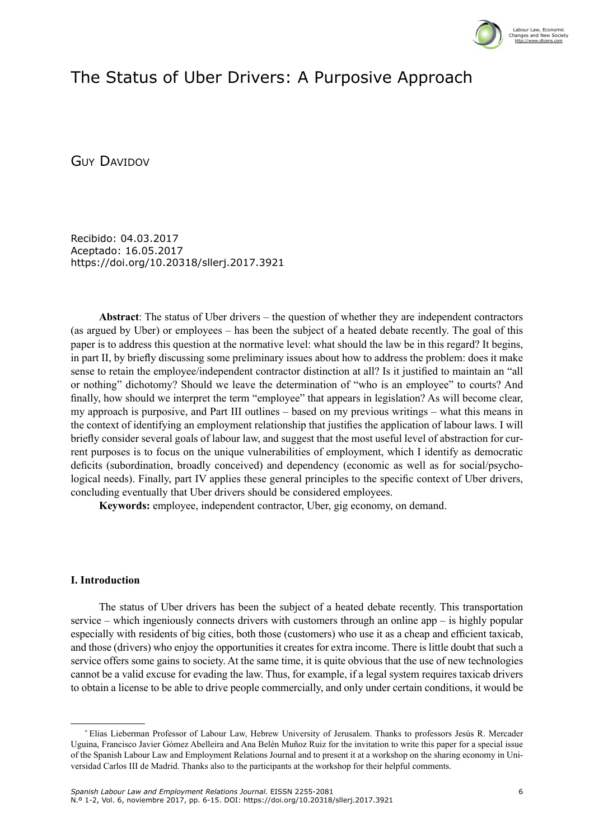

# The Status of Uber Drivers: A Purposive Approach

**GUY DAVIDOV** 

Recibido: 04.03.2017 Aceptado: 16.05.2017 <https://doi.org/10.20318/sllerj.2017.3921>

**Abstract**: The status of Uber drivers – the question of whether they are independent contractors (as argued by Uber) or employees – has been the subject of a heated debate recently. The goal of this paper is to address this question at the normative level: what should the law be in this regard? It begins, in part II, by briefly discussing some preliminary issues about how to address the problem: does it make sense to retain the employee/independent contractor distinction at all? Is it justified to maintain an "all or nothing" dichotomy? Should we leave the determination of "who is an employee" to courts? And finally, how should we interpret the term "employee" that appears in legislation? As will become clear, my approach is purposive, and Part III outlines – based on my previous writings – what this means in the context of identifying an employment relationship that justifies the application of labour laws. I will briefly consider several goals of labour law, and suggest that the most useful level of abstraction for current purposes is to focus on the unique vulnerabilities of employment, which I identify as democratic deficits (subordination, broadly conceived) and dependency (economic as well as for social/psychological needs). Finally, part IV applies these general principles to the specific context of Uber drivers, concluding eventually that Uber drivers should be considered employees.

**Keywords:** employee, independent contractor, Uber, gig economy, on demand.

### **I. Introduction**

The status of Uber drivers has been the subject of a heated debate recently. This transportation service – which ingeniously connects drivers with customers through an online app – is highly popular especially with residents of big cities, both those (customers) who use it as a cheap and efficient taxicab, and those (drivers) who enjoy the opportunities it creates for extra income. There is little doubt that such a service offers some gains to society. At the same time, it is quite obvious that the use of new technologies cannot be a valid excuse for evading the law. Thus, for example, if a legal system requires taxicab drivers to obtain a license to be able to drive people commercially, and only under certain conditions, it would be

<sup>\*</sup> Elias Lieberman Professor of Labour Law, Hebrew University of Jerusalem. Thanks to professors Jesús R. Mercader Uguina, Francisco Javier Gómez Abelleira and Ana Belén Muñoz Ruiz for the invitation to write this paper for a special issue of the Spanish Labour Law and Employment Relations Journal and to present it at a workshop on the sharing economy in Universidad Carlos III de Madrid. Thanks also to the participants at the workshop for their helpful comments.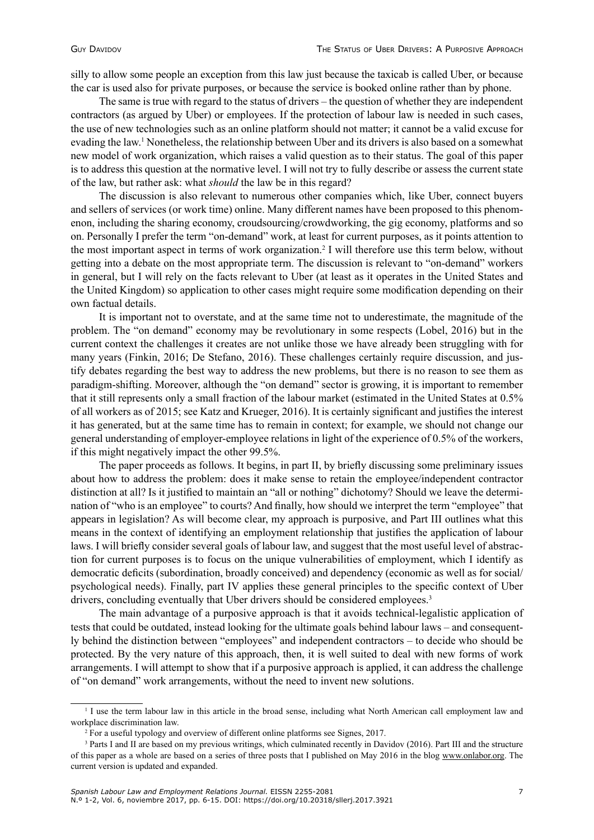silly to allow some people an exception from this law just because the taxicab is called Uber, or because the car is used also for private purposes, or because the service is booked online rather than by phone.

The same is true with regard to the status of drivers – the question of whether they are independent contractors (as argued by Uber) or employees. If the protection of labour law is needed in such cases, the use of new technologies such as an online platform should not matter; it cannot be a valid excuse for evading the law.1 Nonetheless, the relationship between Uber and its drivers is also based on a somewhat new model of work organization, which raises a valid question as to their status. The goal of this paper is to address this question at the normative level. I will not try to fully describe or assess the current state of the law, but rather ask: what *should* the law be in this regard?

The discussion is also relevant to numerous other companies which, like Uber, connect buyers and sellers of services (or work time) online. Many different names have been proposed to this phenomenon, including the sharing economy, croudsourcing/crowdworking, the gig economy, platforms and so on. Personally I prefer the term "on-demand" work, at least for current purposes, as it points attention to the most important aspect in terms of work organization.<sup>2</sup> I will therefore use this term below, without getting into a debate on the most appropriate term. The discussion is relevant to "on-demand" workers in general, but I will rely on the facts relevant to Uber (at least as it operates in the United States and the United Kingdom) so application to other cases might require some modification depending on their own factual details.

It is important not to overstate, and at the same time not to underestimate, the magnitude of the problem. The "on demand" economy may be revolutionary in some respects (Lobel, 2016) but in the current context the challenges it creates are not unlike those we have already been struggling with for many years (Finkin, 2016; De Stefano, 2016). These challenges certainly require discussion, and justify debates regarding the best way to address the new problems, but there is no reason to see them as paradigm-shifting. Moreover, although the "on demand" sector is growing, it is important to remember that it still represents only a small fraction of the labour market (estimated in the United States at 0.5% of all workers as of 2015; see Katz and Krueger, 2016). It is certainly significant and justifies the interest it has generated, but at the same time has to remain in context; for example, we should not change our general understanding of employer-employee relations in light of the experience of 0.5% of the workers, if this might negatively impact the other 99.5%.

The paper proceeds as follows. It begins, in part II, by briefly discussing some preliminary issues about how to address the problem: does it make sense to retain the employee/independent contractor distinction at all? Is it justified to maintain an "all or nothing" dichotomy? Should we leave the determination of "who is an employee" to courts? And finally, how should we interpret the term "employee" that appears in legislation? As will become clear, my approach is purposive, and Part III outlines what this means in the context of identifying an employment relationship that justifies the application of labour laws. I will briefly consider several goals of labour law, and suggest that the most useful level of abstraction for current purposes is to focus on the unique vulnerabilities of employment, which I identify as democratic deficits (subordination, broadly conceived) and dependency (economic as well as for social/ psychological needs). Finally, part IV applies these general principles to the specific context of Uber drivers, concluding eventually that Uber drivers should be considered employees.<sup>3</sup>

The main advantage of a purposive approach is that it avoids technical-legalistic application of tests that could be outdated, instead looking for the ultimate goals behind labour laws – and consequently behind the distinction between "employees" and independent contractors – to decide who should be protected. By the very nature of this approach, then, it is well suited to deal with new forms of work arrangements. I will attempt to show that if a purposive approach is applied, it can address the challenge of "on demand" work arrangements, without the need to invent new solutions.

<sup>&</sup>lt;sup>1</sup> I use the term labour law in this article in the broad sense, including what North American call employment law and workplace discrimination law.

<sup>2</sup> For a useful typology and overview of different online platforms see Signes, 2017.

<sup>3</sup> Parts I and II are based on my previous writings, which culminated recently in Davidov (2016). Part III and the structure of this paper as a whole are based on a series of three posts that I published on May 2016 in the blog [www.onlabor.org.](http://www.onlabor.org) The current version is updated and expanded.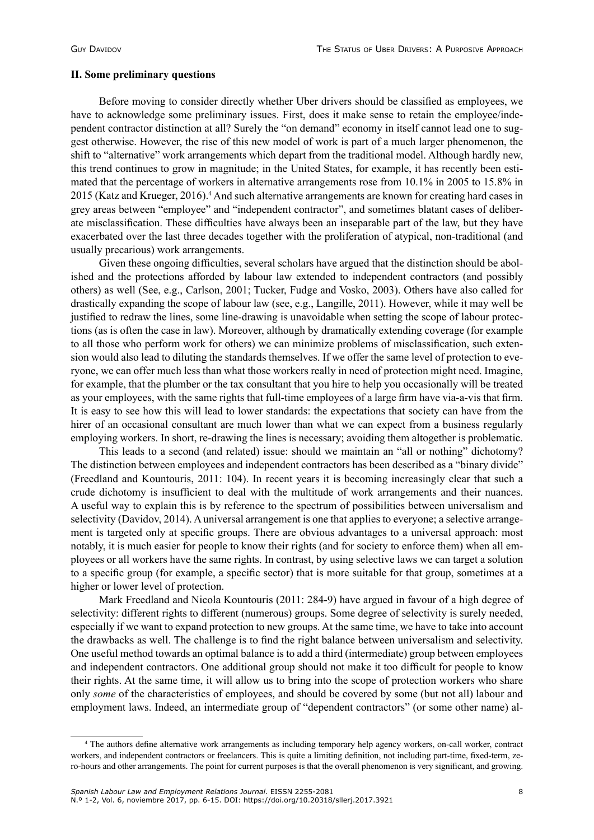#### **II. Some preliminary questions**

Before moving to consider directly whether Uber drivers should be classified as employees, we have to acknowledge some preliminary issues. First, does it make sense to retain the employee/independent contractor distinction at all? Surely the "on demand" economy in itself cannot lead one to suggest otherwise. However, the rise of this new model of work is part of a much larger phenomenon, the shift to "alternative" work arrangements which depart from the traditional model. Although hardly new, this trend continues to grow in magnitude; in the United States, for example, it has recently been estimated that the percentage of workers in alternative arrangements rose from 10.1% in 2005 to 15.8% in 2015 (Katz and Krueger, 2016).<sup>4</sup> And such alternative arrangements are known for creating hard cases in grey areas between "employee" and "independent contractor", and sometimes blatant cases of deliberate misclassification. These difficulties have always been an inseparable part of the law, but they have exacerbated over the last three decades together with the proliferation of atypical, non-traditional (and usually precarious) work arrangements.

Given these ongoing difficulties, several scholars have argued that the distinction should be abolished and the protections afforded by labour law extended to independent contractors (and possibly others) as well (See, e.g., Carlson, 2001; Tucker, Fudge and Vosko, 2003). Others have also called for drastically expanding the scope of labour law (see, e.g., Langille, 2011). However, while it may well be justified to redraw the lines, some line-drawing is unavoidable when setting the scope of labour protections (as is often the case in law). Moreover, although by dramatically extending coverage (for example to all those who perform work for others) we can minimize problems of misclassification, such extension would also lead to diluting the standards themselves. If we offer the same level of protection to everyone, we can offer much less than what those workers really in need of protection might need. Imagine, for example, that the plumber or the tax consultant that you hire to help you occasionally will be treated as your employees, with the same rights that full-time employees of a large firm have via-a-vis that firm. It is easy to see how this will lead to lower standards: the expectations that society can have from the hirer of an occasional consultant are much lower than what we can expect from a business regularly employing workers. In short, re-drawing the lines is necessary; avoiding them altogether is problematic.

This leads to a second (and related) issue: should we maintain an "all or nothing" dichotomy? The distinction between employees and independent contractors has been described as a "binary divide" (Freedland and Kountouris, 2011: 104). In recent years it is becoming increasingly clear that such a crude dichotomy is insufficient to deal with the multitude of work arrangements and their nuances. A useful way to explain this is by reference to the spectrum of possibilities between universalism and selectivity (Davidov, 2014). A universal arrangement is one that applies to everyone; a selective arrangement is targeted only at specific groups. There are obvious advantages to a universal approach: most notably, it is much easier for people to know their rights (and for society to enforce them) when all employees or all workers have the same rights. In contrast, by using selective laws we can target a solution to a specific group (for example, a specific sector) that is more suitable for that group, sometimes at a higher or lower level of protection.

Mark Freedland and Nicola Kountouris (2011: 284-9) have argued in favour of a high degree of selectivity: different rights to different (numerous) groups. Some degree of selectivity is surely needed, especially if we want to expand protection to new groups. At the same time, we have to take into account the drawbacks as well. The challenge is to find the right balance between universalism and selectivity. One useful method towards an optimal balance is to add a third (intermediate) group between employees and independent contractors. One additional group should not make it too difficult for people to know their rights. At the same time, it will allow us to bring into the scope of protection workers who share only *some* of the characteristics of employees, and should be covered by some (but not all) labour and employment laws. Indeed, an intermediate group of "dependent contractors" (or some other name) al-

<sup>4</sup> The authors define alternative work arrangements as including temporary help agency workers, on-call worker, contract workers, and independent contractors or freelancers. This is quite a limiting definition, not including part-time, fixed-term, zero-hours and other arrangements. The point for current purposes is that the overall phenomenon is very significant, and growing.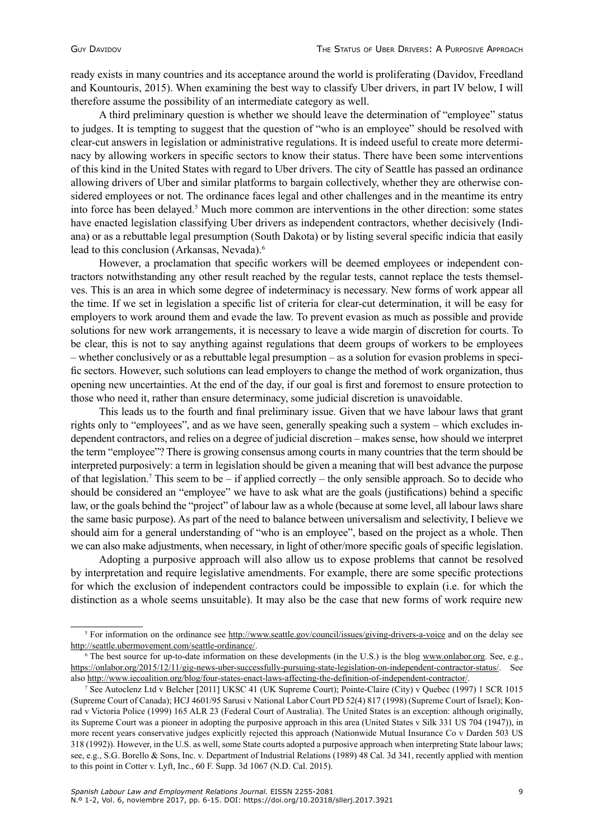ready exists in many countries and its acceptance around the world is proliferating (Davidov, Freedland and Kountouris, 2015). When examining the best way to classify Uber drivers, in part IV below, I will therefore assume the possibility of an intermediate category as well.

A third preliminary question is whether we should leave the determination of "employee" status to judges. It is tempting to suggest that the question of "who is an employee" should be resolved with clear-cut answers in legislation or administrative regulations. It is indeed useful to create more determinacy by allowing workers in specific sectors to know their status. There have been some interventions of this kind in the United States with regard to Uber drivers. The city of Seattle has passed an ordinance allowing drivers of Uber and similar platforms to bargain collectively, whether they are otherwise considered employees or not. The ordinance faces legal and other challenges and in the meantime its entry into force has been delayed.<sup>5</sup> Much more common are interventions in the other direction: some states have enacted legislation classifying Uber drivers as independent contractors, whether decisively (Indiana) or as a rebuttable legal presumption (South Dakota) or by listing several specific indicia that easily lead to this conclusion (Arkansas, Nevada).<sup>6</sup>

However, a proclamation that specific workers will be deemed employees or independent contractors notwithstanding any other result reached by the regular tests, cannot replace the tests themselves. This is an area in which some degree of indeterminacy is necessary. New forms of work appear all the time. If we set in legislation a specific list of criteria for clear-cut determination, it will be easy for employers to work around them and evade the law. To prevent evasion as much as possible and provide solutions for new work arrangements, it is necessary to leave a wide margin of discretion for courts. To be clear, this is not to say anything against regulations that deem groups of workers to be employees – whether conclusively or as a rebuttable legal presumption – as a solution for evasion problems in specific sectors. However, such solutions can lead employers to change the method of work organization, thus opening new uncertainties. At the end of the day, if our goal is first and foremost to ensure protection to those who need it, rather than ensure determinacy, some judicial discretion is unavoidable.

This leads us to the fourth and final preliminary issue. Given that we have labour laws that grant rights only to "employees", and as we have seen, generally speaking such a system – which excludes independent contractors, and relies on a degree of judicial discretion – makes sense, how should we interpret the term "employee"? There is growing consensus among courts in many countries that the term should be interpreted purposively: a term in legislation should be given a meaning that will best advance the purpose of that legislation.<sup>7</sup> This seem to be – if applied correctly – the only sensible approach. So to decide who should be considered an "employee" we have to ask what are the goals (justifications) behind a specific law, or the goals behind the "project" of labour law as a whole (because at some level, all labour laws share the same basic purpose). As part of the need to balance between universalism and selectivity, I believe we should aim for a general understanding of "who is an employee", based on the project as a whole. Then we can also make adjustments, when necessary, in light of other/more specific goals of specific legislation.

Adopting a purposive approach will also allow us to expose problems that cannot be resolved by interpretation and require legislative amendments. For example, there are some specific protections for which the exclusion of independent contractors could be impossible to explain (i.e. for which the distinction as a whole seems unsuitable). It may also be the case that new forms of work require new

<sup>5</sup> For information on the ordinance see <http://www.seattle.gov/council/issues/giving-drivers-a-voice> and on the delay see [http://seattle.ubermovement.com/seattle-ordinance/.](http://seattle.ubermovement.com/seattle-ordinance/)

<sup>&</sup>lt;sup>6</sup> The best source for up-to-date information on these developments (in the U.S.) is the blog [www.onlabor.org](http://www.onlabor.org). See, e.g., <https://onlabor.org/2015/12/11/gig-news-uber-successfully-pursuing-state-legislation-on-independent-contractor-status/>. See also [http://www.iecoalition.org/blog/four-states-enact-laws-affecting-the-definition-of-independent-contractor/.](http://www.iecoalition.org/blog/four-states-enact-laws-affecting-the-definition-of-independent-contractor/)

<sup>7</sup> See Autoclenz Ltd v Belcher [2011] UKSC 41 (UK Supreme Court); Pointe-Claire (City) v Quebec (1997) 1 SCR 1015 (Supreme Court of Canada); HCJ 4601/95 Sarusi v National Labor Court PD 52(4) 817 (1998) (Supreme Court of Israel); Konrad v Victoria Police (1999) 165 ALR 23 (Federal Court of Australia). The United States is an exception: although originally, its Supreme Court was a pioneer in adopting the purposive approach in this area (United States v Silk 331 US 704 (1947)), in more recent years conservative judges explicitly rejected this approach (Nationwide Mutual Insurance Co v Darden 503 US 318 (1992)). However, in the U.S. as well, some State courts adopted a purposive approach when interpreting State labour laws; see, e.g., S.G. Borello & Sons, Inc. v. Department of Industrial Relations (1989) 48 Cal. 3d 341, recently applied with mention to this point in Cotter v. Lyft, Inc., 60 F. Supp. 3d 1067 (N.D. Cal. 2015).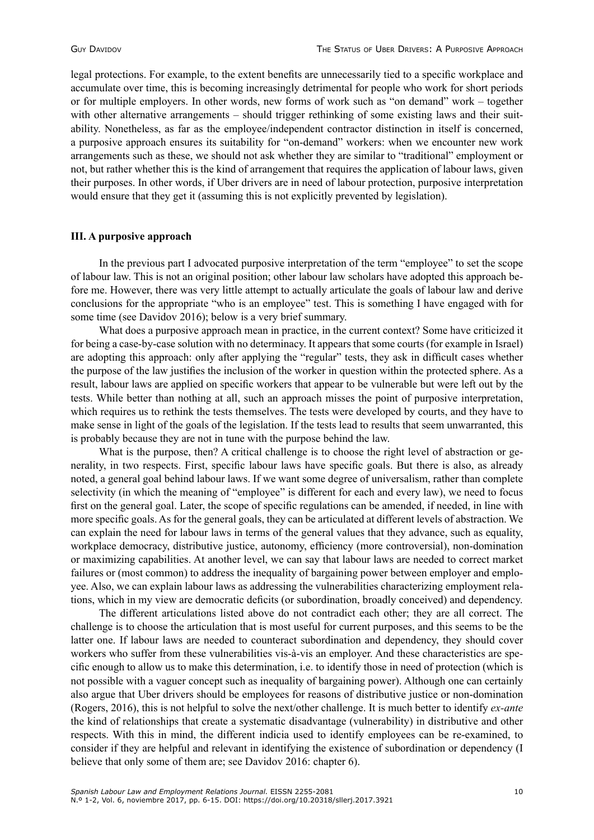legal protections. For example, to the extent benefits are unnecessarily tied to a specific workplace and accumulate over time, this is becoming increasingly detrimental for people who work for short periods or for multiple employers. In other words, new forms of work such as "on demand" work – together with other alternative arrangements – should trigger rethinking of some existing laws and their suitability. Nonetheless, as far as the employee/independent contractor distinction in itself is concerned, a purposive approach ensures its suitability for "on-demand" workers: when we encounter new work arrangements such as these, we should not ask whether they are similar to "traditional" employment or not, but rather whether this is the kind of arrangement that requires the application of labour laws, given their purposes. In other words, if Uber drivers are in need of labour protection, purposive interpretation would ensure that they get it (assuming this is not explicitly prevented by legislation).

#### **III. A purposive approach**

In the previous part I advocated purposive interpretation of the term "employee" to set the scope of labour law. This is not an original position; other labour law scholars have adopted this approach before me. However, there was very little attempt to actually articulate the goals of labour law and derive conclusions for the appropriate "who is an employee" test. This is something I have engaged with for some time (see Davidov 2016); below is a very brief summary.

What does a purposive approach mean in practice, in the current context? Some have criticized it for being a case-by-case solution with no determinacy. It appears that some courts (for example in Israel) are adopting this approach: only after applying the "regular" tests, they ask in difficult cases whether the purpose of the law justifies the inclusion of the worker in question within the protected sphere. As a result, labour laws are applied on specific workers that appear to be vulnerable but were left out by the tests. While better than nothing at all, such an approach misses the point of purposive interpretation, which requires us to rethink the tests themselves. The tests were developed by courts, and they have to make sense in light of the goals of the legislation. If the tests lead to results that seem unwarranted, this is probably because they are not in tune with the purpose behind the law.

What is the purpose, then? A critical challenge is to choose the right level of abstraction or generality, in two respects. First, specific labour laws have specific goals. But there is also, as already noted, a general goal behind labour laws. If we want some degree of universalism, rather than complete selectivity (in which the meaning of "employee" is different for each and every law), we need to focus first on the general goal. Later, the scope of specific regulations can be amended, if needed, in line with more specific goals. As for the general goals, they can be articulated at different levels of abstraction. We can explain the need for labour laws in terms of the general values that they advance, such as equality, workplace democracy, distributive justice, autonomy, efficiency (more controversial), non-domination or maximizing capabilities. At another level, we can say that labour laws are needed to correct market failures or (most common) to address the inequality of bargaining power between employer and employee. Also, we can explain labour laws as addressing the vulnerabilities characterizing employment relations, which in my view are democratic deficits (or subordination, broadly conceived) and dependency.

The different articulations listed above do not contradict each other; they are all correct. The challenge is to choose the articulation that is most useful for current purposes, and this seems to be the latter one. If labour laws are needed to counteract subordination and dependency, they should cover workers who suffer from these vulnerabilities vis-à-vis an employer. And these characteristics are specific enough to allow us to make this determination, i.e. to identify those in need of protection (which is not possible with a vaguer concept such as inequality of bargaining power). Although one can certainly also argue that Uber drivers should be employees for reasons of distributive justice or non-domination (Rogers, 2016), this is not helpful to solve the next/other challenge. It is much better to identify *ex-ante* the kind of relationships that create a systematic disadvantage (vulnerability) in distributive and other respects. With this in mind, the different indicia used to identify employees can be re-examined, to consider if they are helpful and relevant in identifying the existence of subordination or dependency (I believe that only some of them are; see Davidov 2016: chapter 6).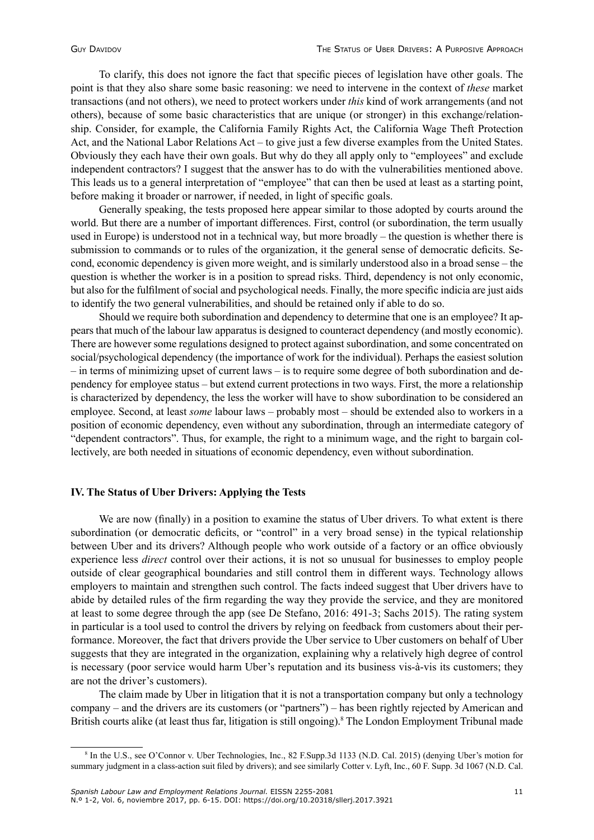To clarify, this does not ignore the fact that specific pieces of legislation have other goals. The point is that they also share some basic reasoning: we need to intervene in the context of *these* market transactions (and not others), we need to protect workers under *this* kind of work arrangements (and not others), because of some basic characteristics that are unique (or stronger) in this exchange/relationship. Consider, for example, the California Family Rights Act, the California Wage Theft Protection Act, and the National Labor Relations Act – to give just a few diverse examples from the United States. Obviously they each have their own goals. But why do they all apply only to "employees" and exclude independent contractors? I suggest that the answer has to do with the vulnerabilities mentioned above. This leads us to a general interpretation of "employee" that can then be used at least as a starting point, before making it broader or narrower, if needed, in light of specific goals.

Generally speaking, the tests proposed here appear similar to those adopted by courts around the world. But there are a number of important differences. First, control (or subordination, the term usually used in Europe) is understood not in a technical way, but more broadly – the question is whether there is submission to commands or to rules of the organization, it the general sense of democratic deficits. Second, economic dependency is given more weight, and is similarly understood also in a broad sense – the question is whether the worker is in a position to spread risks. Third, dependency is not only economic, but also for the fulfilment of social and psychological needs. Finally, the more specific indicia are just aids to identify the two general vulnerabilities, and should be retained only if able to do so.

Should we require both subordination and dependency to determine that one is an employee? It appears that much of the labour law apparatus is designed to counteract dependency (and mostly economic). There are however some regulations designed to protect against subordination, and some concentrated on social/psychological dependency (the importance of work for the individual). Perhaps the easiest solution – in terms of minimizing upset of current laws – is to require some degree of both subordination and dependency for employee status – but extend current protections in two ways. First, the more a relationship is characterized by dependency, the less the worker will have to show subordination to be considered an employee. Second, at least *some* labour laws – probably most – should be extended also to workers in a position of economic dependency, even without any subordination, through an intermediate category of "dependent contractors". Thus, for example, the right to a minimum wage, and the right to bargain collectively, are both needed in situations of economic dependency, even without subordination.

## **IV. The Status of Uber Drivers: Applying the Tests**

We are now (finally) in a position to examine the status of Uber drivers. To what extent is there subordination (or democratic deficits, or "control" in a very broad sense) in the typical relationship between Uber and its drivers? Although people who work outside of a factory or an office obviously experience less *direct* control over their actions, it is not so unusual for businesses to employ people outside of clear geographical boundaries and still control them in different ways. Technology allows employers to maintain and strengthen such control. The facts indeed suggest that Uber drivers have to abide by detailed rules of the firm regarding the way they provide the service, and they are monitored at least to some degree through the app (see De Stefano, 2016: 491-3; Sachs 2015). The rating system in particular is a tool used to control the drivers by relying on feedback from customers about their performance. Moreover, the fact that drivers provide the Uber service to Uber customers on behalf of Uber suggests that they are integrated in the organization, explaining why a relatively high degree of control is necessary (poor service would harm Uber's reputation and its business vis-à-vis its customers; they are not the driver's customers).

The claim made by Uber in litigation that it is not a transportation company but only a technology company – and the drivers are its customers (or "partners") – has been rightly rejected by American and British courts alike (at least thus far, litigation is still ongoing).<sup>8</sup> The London Employment Tribunal made

<sup>8</sup> In the U.S., see O'Connor v. Uber Technologies, Inc., 82 F.Supp.3d 1133 (N.D. Cal. 2015) (denying Uber's motion for summary judgment in a class-action suit filed by drivers); and see similarly Cotter v. Lyft, Inc., 60 F. Supp. 3d 1067 (N.D. Cal.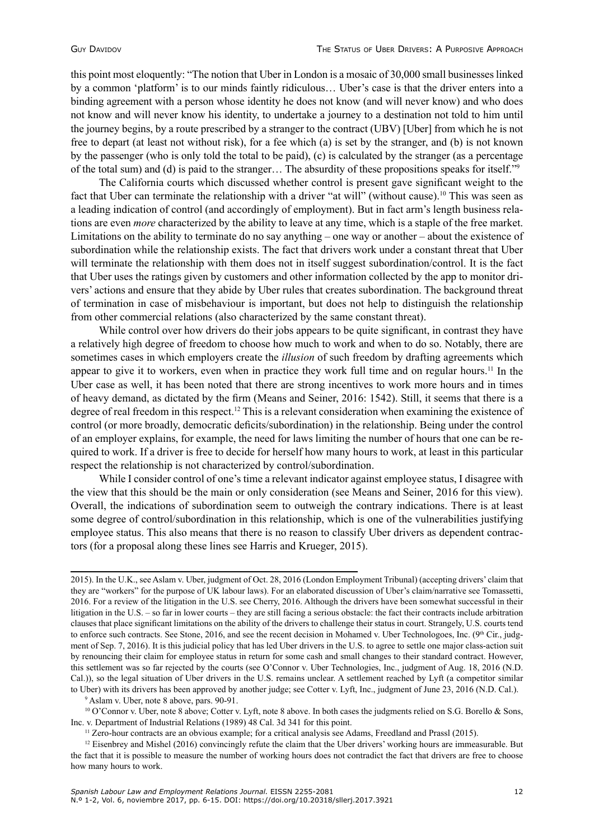this point most eloquently: "The notion that Uber in London is a mosaic of 30,000 small businesses linked by a common 'platform' is to our minds faintly ridiculous… Uber's case is that the driver enters into a binding agreement with a person whose identity he does not know (and will never know) and who does not know and will never know his identity, to undertake a journey to a destination not told to him until the journey begins, by a route prescribed by a stranger to the contract (UBV) [Uber] from which he is not free to depart (at least not without risk), for a fee which (a) is set by the stranger, and (b) is not known by the passenger (who is only told the total to be paid), (c) is calculated by the stranger (as a percentage of the total sum) and (d) is paid to the stranger… The absurdity of these propositions speaks for itself."<sup>9</sup>

The California courts which discussed whether control is present gave significant weight to the fact that Uber can terminate the relationship with a driver "at will" (without cause).<sup>10</sup> This was seen as a leading indication of control (and accordingly of employment). But in fact arm's length business relations are even *more* characterized by the ability to leave at any time, which is a staple of the free market. Limitations on the ability to terminate do no say anything – one way or another – about the existence of subordination while the relationship exists. The fact that drivers work under a constant threat that Uber will terminate the relationship with them does not in itself suggest subordination/control. It is the fact that Uber uses the ratings given by customers and other information collected by the app to monitor drivers' actions and ensure that they abide by Uber rules that creates subordination. The background threat of termination in case of misbehaviour is important, but does not help to distinguish the relationship from other commercial relations (also characterized by the same constant threat).

While control over how drivers do their jobs appears to be quite significant, in contrast they have a relatively high degree of freedom to choose how much to work and when to do so. Notably, there are sometimes cases in which employers create the *illusion* of such freedom by drafting agreements which appear to give it to workers, even when in practice they work full time and on regular hours.<sup>11</sup> In the Uber case as well, it has been noted that there are strong incentives to work more hours and in times of heavy demand, as dictated by the firm (Means and Seiner, 2016: 1542). Still, it seems that there is a degree of real freedom in this respect.<sup>12</sup> This is a relevant consideration when examining the existence of control (or more broadly, democratic deficits/subordination) in the relationship. Being under the control of an employer explains, for example, the need for laws limiting the number of hours that one can be required to work. If a driver is free to decide for herself how many hours to work, at least in this particular respect the relationship is not characterized by control/subordination.

While I consider control of one's time a relevant indicator against employee status, I disagree with the view that this should be the main or only consideration (see Means and Seiner, 2016 for this view). Overall, the indications of subordination seem to outweigh the contrary indications. There is at least some degree of control/subordination in this relationship, which is one of the vulnerabilities justifying employee status. This also means that there is no reason to classify Uber drivers as dependent contractors (for a proposal along these lines see Harris and Krueger, 2015).

<sup>9</sup> Aslam v. Uber, note 8 above, pars. 90-91.

 $10$  O'Connor v. Uber, note 8 above; Cotter v. Lyft, note 8 above. In both cases the judgments relied on S.G. Borello & Sons, Inc. v. Department of Industrial Relations (1989) 48 Cal. 3d 341 for this point.

<sup>11</sup> Zero-hour contracts are an obvious example; for a critical analysis see Adams, Freedland and Prassl (2015).

<sup>2015).</sup> In the U.K., see Aslam v. Uber, judgment of Oct. 28, 2016 (London Employment Tribunal) (accepting drivers' claim that they are "workers" for the purpose of UK labour laws). For an elaborated discussion of Uber's claim/narrative see Tomassetti, 2016. For a review of the litigation in the U.S. see Cherry, 2016. Although the drivers have been somewhat successful in their litigation in the U.S. – so far in lower courts – they are still facing a serious obstacle: the fact their contracts include arbitration clauses that place significant limitations on the ability of the drivers to challenge their status in court. Strangely, U.S. courts tend to enforce such contracts. See Stone, 2016, and see the recent decision in Mohamed v. Uber Technologoes, Inc.  $(9<sup>th</sup> Cir., judg$ ment of Sep. 7, 2016). It is this judicial policy that has led Uber drivers in the U.S. to agree to settle one major class-action suit by renouncing their claim for employee status in return for some cash and small changes to their standard contract. However, this settlement was so far rejected by the courts (see O'Connor v. Uber Technologies, Inc., judgment of Aug. 18, 2016 (N.D. Cal.)), so the legal situation of Uber drivers in the U.S. remains unclear. A settlement reached by Lyft (a competitor similar to Uber) with its drivers has been approved by another judge; see Cotter v. Lyft, Inc., judgment of June 23, 2016 (N.D. Cal.).

<sup>&</sup>lt;sup>12</sup> Eisenbrey and Mishel (2016) convincingly refute the claim that the Uber drivers' working hours are immeasurable. But the fact that it is possible to measure the number of working hours does not contradict the fact that drivers are free to choose how many hours to work.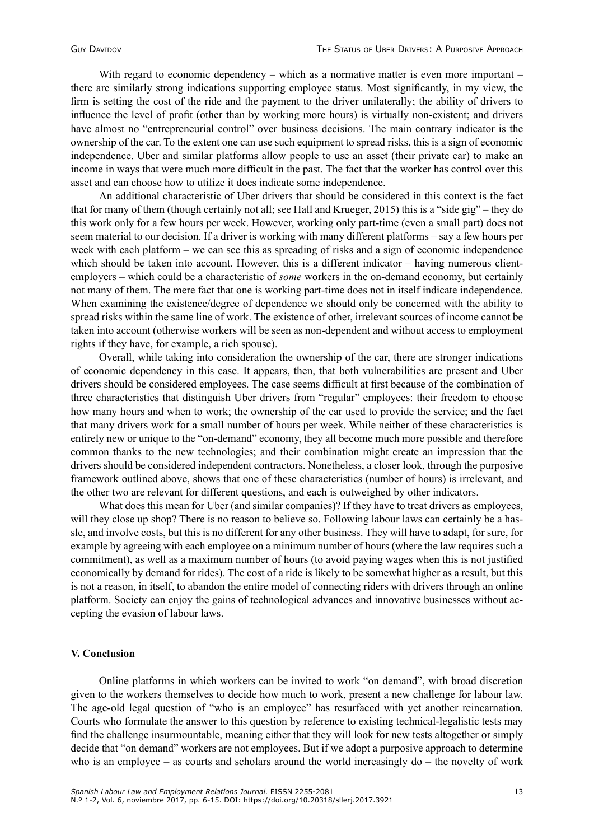With regard to economic dependency – which as a normative matter is even more important – there are similarly strong indications supporting employee status. Most significantly, in my view, the firm is setting the cost of the ride and the payment to the driver unilaterally; the ability of drivers to influence the level of profit (other than by working more hours) is virtually non-existent; and drivers have almost no "entrepreneurial control" over business decisions. The main contrary indicator is the ownership of the car. To the extent one can use such equipment to spread risks, this is a sign of economic independence. Uber and similar platforms allow people to use an asset (their private car) to make an income in ways that were much more difficult in the past. The fact that the worker has control over this asset and can choose how to utilize it does indicate some independence.

An additional characteristic of Uber drivers that should be considered in this context is the fact that for many of them (though certainly not all; see Hall and Krueger, 2015) this is a "side gig" – they do this work only for a few hours per week. However, working only part-time (even a small part) does not seem material to our decision. If a driver is working with many different platforms – say a few hours per week with each platform – we can see this as spreading of risks and a sign of economic independence which should be taken into account. However, this is a different indicator – having numerous clientemployers – which could be a characteristic of *some* workers in the on-demand economy, but certainly not many of them. The mere fact that one is working part-time does not in itself indicate independence. When examining the existence/degree of dependence we should only be concerned with the ability to spread risks within the same line of work. The existence of other, irrelevant sources of income cannot be taken into account (otherwise workers will be seen as non-dependent and without access to employment rights if they have, for example, a rich spouse).

Overall, while taking into consideration the ownership of the car, there are stronger indications of economic dependency in this case. It appears, then, that both vulnerabilities are present and Uber drivers should be considered employees. The case seems difficult at first because of the combination of three characteristics that distinguish Uber drivers from "regular" employees: their freedom to choose how many hours and when to work; the ownership of the car used to provide the service; and the fact that many drivers work for a small number of hours per week. While neither of these characteristics is entirely new or unique to the "on-demand" economy, they all become much more possible and therefore common thanks to the new technologies; and their combination might create an impression that the drivers should be considered independent contractors. Nonetheless, a closer look, through the purposive framework outlined above, shows that one of these characteristics (number of hours) is irrelevant, and the other two are relevant for different questions, and each is outweighed by other indicators.

What does this mean for Uber (and similar companies)? If they have to treat drivers as employees, will they close up shop? There is no reason to believe so. Following labour laws can certainly be a hassle, and involve costs, but this is no different for any other business. They will have to adapt, for sure, for example by agreeing with each employee on a minimum number of hours (where the law requires such a commitment), as well as a maximum number of hours (to avoid paying wages when this is not justified economically by demand for rides). The cost of a ride is likely to be somewhat higher as a result, but this is not a reason, in itself, to abandon the entire model of connecting riders with drivers through an online platform. Society can enjoy the gains of technological advances and innovative businesses without accepting the evasion of labour laws.

## **V. Conclusion**

Online platforms in which workers can be invited to work "on demand", with broad discretion given to the workers themselves to decide how much to work, present a new challenge for labour law. The age-old legal question of "who is an employee" has resurfaced with yet another reincarnation. Courts who formulate the answer to this question by reference to existing technical-legalistic tests may find the challenge insurmountable, meaning either that they will look for new tests altogether or simply decide that "on demand" workers are not employees. But if we adopt a purposive approach to determine who is an employee – as courts and scholars around the world increasingly  $do$  – the novelty of work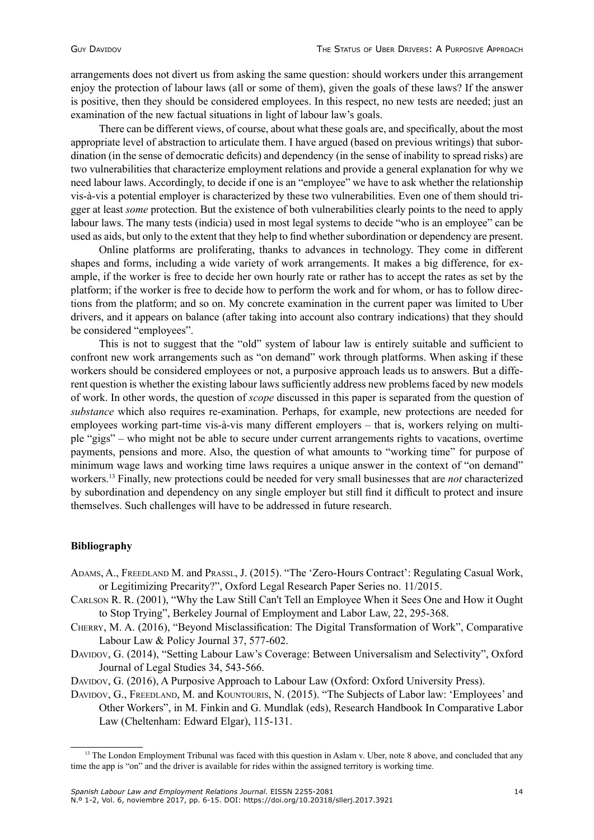arrangements does not divert us from asking the same question: should workers under this arrangement enjoy the protection of labour laws (all or some of them), given the goals of these laws? If the answer is positive, then they should be considered employees. In this respect, no new tests are needed; just an examination of the new factual situations in light of labour law's goals.

There can be different views, of course, about what these goals are, and specifically, about the most appropriate level of abstraction to articulate them. I have argued (based on previous writings) that subordination (in the sense of democratic deficits) and dependency (in the sense of inability to spread risks) are two vulnerabilities that characterize employment relations and provide a general explanation for why we need labour laws. Accordingly, to decide if one is an "employee" we have to ask whether the relationship vis-à-vis a potential employer is characterized by these two vulnerabilities. Even one of them should trigger at least *some* protection. But the existence of both vulnerabilities clearly points to the need to apply labour laws. The many tests (indicia) used in most legal systems to decide "who is an employee" can be used as aids, but only to the extent that they help to find whether subordination or dependency are present.

Online platforms are proliferating, thanks to advances in technology. They come in different shapes and forms, including a wide variety of work arrangements. It makes a big difference, for example, if the worker is free to decide her own hourly rate or rather has to accept the rates as set by the platform; if the worker is free to decide how to perform the work and for whom, or has to follow directions from the platform; and so on. My concrete examination in the current paper was limited to Uber drivers, and it appears on balance (after taking into account also contrary indications) that they should be considered "employees".

This is not to suggest that the "old" system of labour law is entirely suitable and sufficient to confront new work arrangements such as "on demand" work through platforms. When asking if these workers should be considered employees or not, a purposive approach leads us to answers. But a different question is whether the existing labour laws sufficiently address new problems faced by new models of work. In other words, the question of *scope* discussed in this paper is separated from the question of *substance* which also requires re-examination. Perhaps, for example, new protections are needed for employees working part-time vis-à-vis many different employers – that is, workers relying on multiple "gigs" – who might not be able to secure under current arrangements rights to vacations, overtime payments, pensions and more. Also, the question of what amounts to "working time" for purpose of minimum wage laws and working time laws requires a unique answer in the context of "on demand" workers.13 Finally, new protections could be needed for very small businesses that are *not* characterized by subordination and dependency on any single employer but still find it difficult to protect and insure themselves. Such challenges will have to be addressed in future research.

# **Bibliography**

- Adams, A., Freedland M. and Prassl, J. (2015). "The 'Zero-Hours Contract': Regulating Casual Work, or Legitimizing Precarity?", Oxford Legal Research Paper Series no. 11/2015.
- Carlson R. R. (2001), "Why the Law Still Can't Tell an Employee When it Sees One and How it Ought to Stop Trying", Berkeley Journal of Employment and Labor Law, 22, 295-368.
- Cherry, M. A. (2016), "Beyond Misclassification: The Digital Transformation of Work", Comparative Labour Law & Policy Journal 37, 577-602.
- Davidov, G. (2014), "Setting Labour Law's Coverage: Between Universalism and Selectivity", Oxford Journal of Legal Studies 34, 543-566.
- DAVIDOV, G. (2016), A Purposive Approach to Labour Law (Oxford: Oxford University Press).
- DAVIDOV, G., FREEDLAND, M. and KOUNTOURIS, N. (2015). "The Subjects of Labor law: 'Employees' and Other Workers", in M. Finkin and G. Mundlak (eds), Research Handbook In Comparative Labor Law (Cheltenham: Edward Elgar), 115-131.

<sup>&</sup>lt;sup>13</sup> The London Employment Tribunal was faced with this question in Aslam v. Uber, note 8 above, and concluded that any time the app is "on" and the driver is available for rides within the assigned territory is working time.